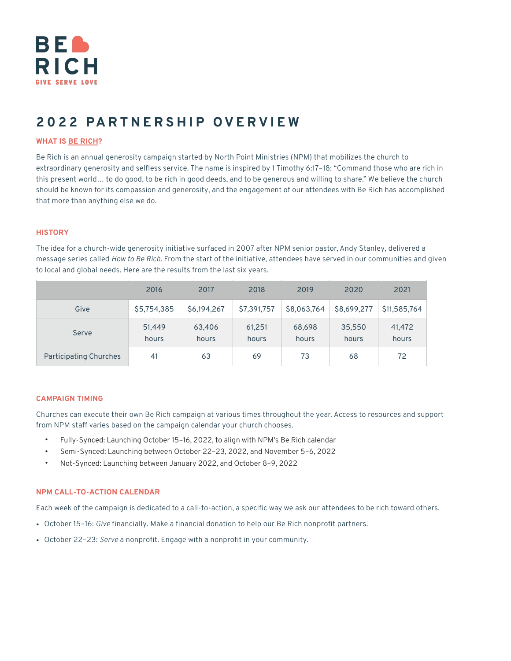

# **2022 PARTNERSHIP OVERVIEW**

## **WHAT IS [BE RICH?](https://berich.org/)**

Be Rich is an annual generosity campaign started by North Point Ministries (NPM) that mobilizes the church to extraordinary generosity and selfless service. The name is inspired by 1 Timothy 6:17–18: "Command those who are rich in this present world… to do good, to be rich in good deeds, and to be generous and willing to share." We believe the church should be known for its compassion and generosity, and the engagement of our attendees with Be Rich has accomplished that more than anything else we do.

## **HISTORY**

The idea for a church-wide generosity initiative surfaced in 2007 after NPM senior pastor, Andy Stanley, delivered a message series called *How to Be Rich*. From the start of the initiative, attendees have served in our communities and given to local and global needs. Here are the results from the last six years.

|                               | 2016            | 2017            | 2018            | 2019            | 2020            | 2021            |
|-------------------------------|-----------------|-----------------|-----------------|-----------------|-----------------|-----------------|
| Give                          | \$5,754,385     | \$6,194,267     | \$7,391,757     | \$8,063,764     | \$8,699,277     | \$11,585,764    |
| Serve                         | 51,449<br>hours | 63,406<br>hours | 61,251<br>hours | 68,698<br>hours | 35,550<br>hours | 41,472<br>hours |
| <b>Participating Churches</b> | 41              | 63              | 69              | 73              | 68              | 72              |

#### **CAMPAIGN TIMING**

Churches can execute their own Be Rich campaign at various times throughout the year. Access to resources and support from NPM staff varies based on the campaign calendar your church chooses.

- Fully-Synced: Launching October 15–16, 2022, to align with NPM's Be Rich calendar
- Semi-Synced: Launching between October 22–23, 2022, and November 5–6, 2022
- Not-Synced: Launching between January 2022, and October 8–9, 2022

## **NPM CALL-TO-ACTION CALENDAR**

Each week of the campaign is dedicated to a call-to-action, a specific way we ask our attendees to be rich toward others.

- October 15–16: *Give* financially. Make a financial donation to help our Be Rich nonprofit partners.
- October 22–23: *Serve* a nonprofit. Engage with a nonprofit in your community.